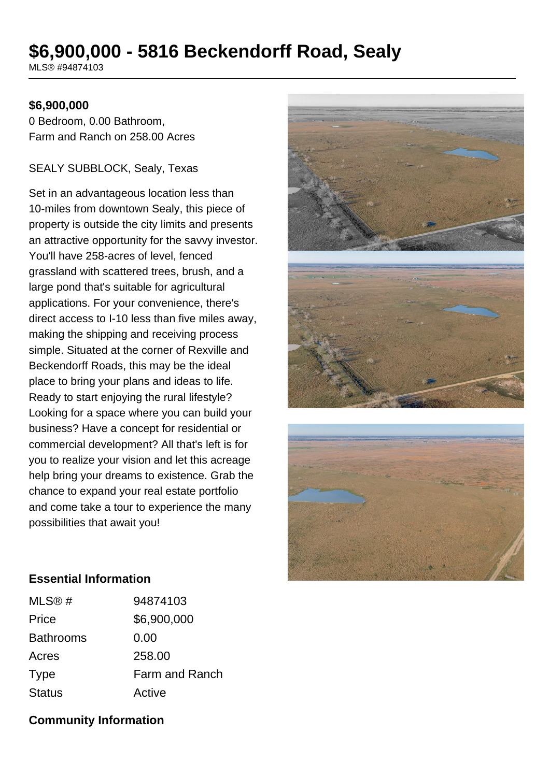# **\$6,900,000 - 5816 Beckendorff Road, Sealy**

MLS® #94874103

#### **\$6,900,000**

0 Bedroom, 0.00 Bathroom, Farm and Ranch on 258.00 Acres

#### SEALY SUBBLOCK, Sealy, Texas

Set in an advantageous location less than 10-miles from downtown Sealy, this piece of property is outside the city limits and presents an attractive opportunity for the savvy investor. You'll have 258-acres of level, fenced grassland with scattered trees, brush, and a large pond that's suitable for agricultural applications. For your convenience, there's direct access to I-10 less than five miles away, making the shipping and receiving process simple. Situated at the corner of Rexville and Beckendorff Roads, this may be the ideal place to bring your plans and ideas to life. Ready to start enjoying the rural lifestyle? Looking for a space where you can build your business? Have a concept for residential or commercial development? All that's left is for you to realize your vision and let this acreage help bring your dreams to existence. Grab the chance to expand your real estate portfolio and come take a tour to experience the many possibilities that await you!



#### **Essential Information**

| MLS@#            | 94874103       |
|------------------|----------------|
| Price            | \$6,900,000    |
| <b>Bathrooms</b> | 0.00           |
| Acres            | 258.00         |
| <b>Type</b>      | Farm and Ranch |
| <b>Status</b>    | Active         |

## **Community Information**